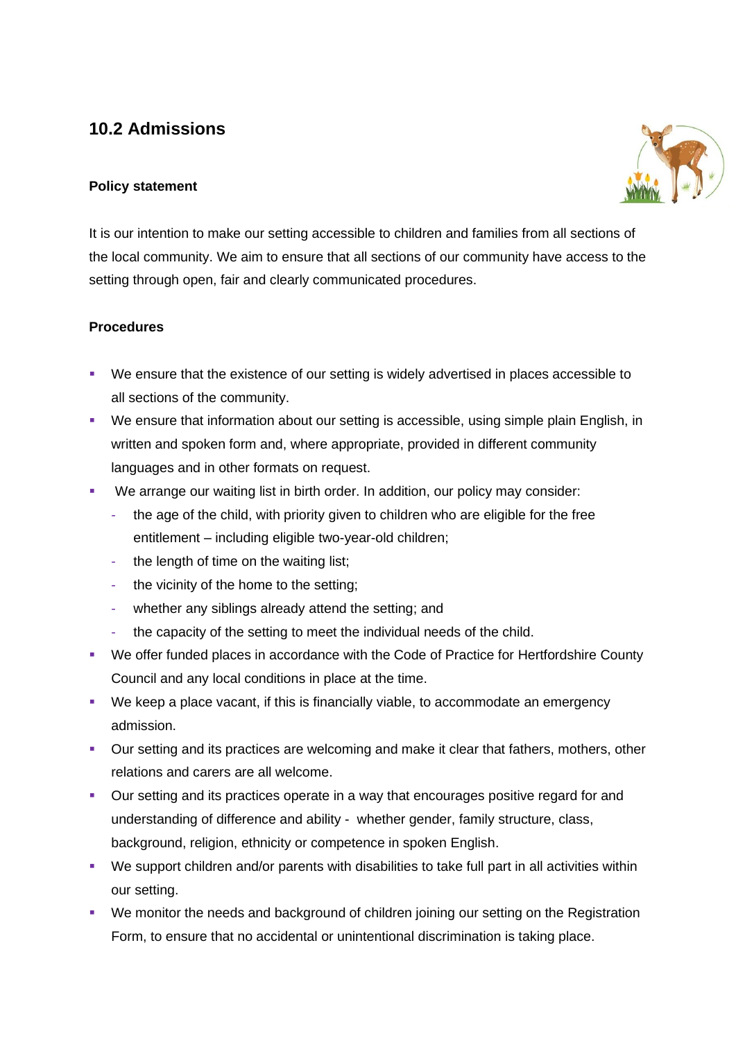# **10.2 Admissions**

## **Policy statement**



It is our intention to make our setting accessible to children and families from all sections of the local community. We aim to ensure that all sections of our community have access to the setting through open, fair and clearly communicated procedures.

## **Procedures**

- We ensure that the existence of our setting is widely advertised in places accessible to all sections of the community.
- We ensure that information about our setting is accessible, using simple plain English, in written and spoken form and, where appropriate, provided in different community languages and in other formats on request.
- We arrange our waiting list in birth order. In addition, our policy may consider:
	- the age of the child, with priority given to children who are eligible for the free entitlement – including eligible two-year-old children;
	- the length of time on the waiting list:
	- the vicinity of the home to the setting;
	- whether any siblings already attend the setting; and
	- the capacity of the setting to meet the individual needs of the child.
- We offer funded places in accordance with the Code of Practice for Hertfordshire County Council and any local conditions in place at the time.
- We keep a place vacant, if this is financially viable, to accommodate an emergency admission.
- Our setting and its practices are welcoming and make it clear that fathers, mothers, other relations and carers are all welcome.
- Our setting and its practices operate in a way that encourages positive regard for and understanding of difference and ability - whether gender, family structure, class, background, religion, ethnicity or competence in spoken English.
- We support children and/or parents with disabilities to take full part in all activities within our setting.
- We monitor the needs and background of children joining our setting on the Registration Form, to ensure that no accidental or unintentional discrimination is taking place.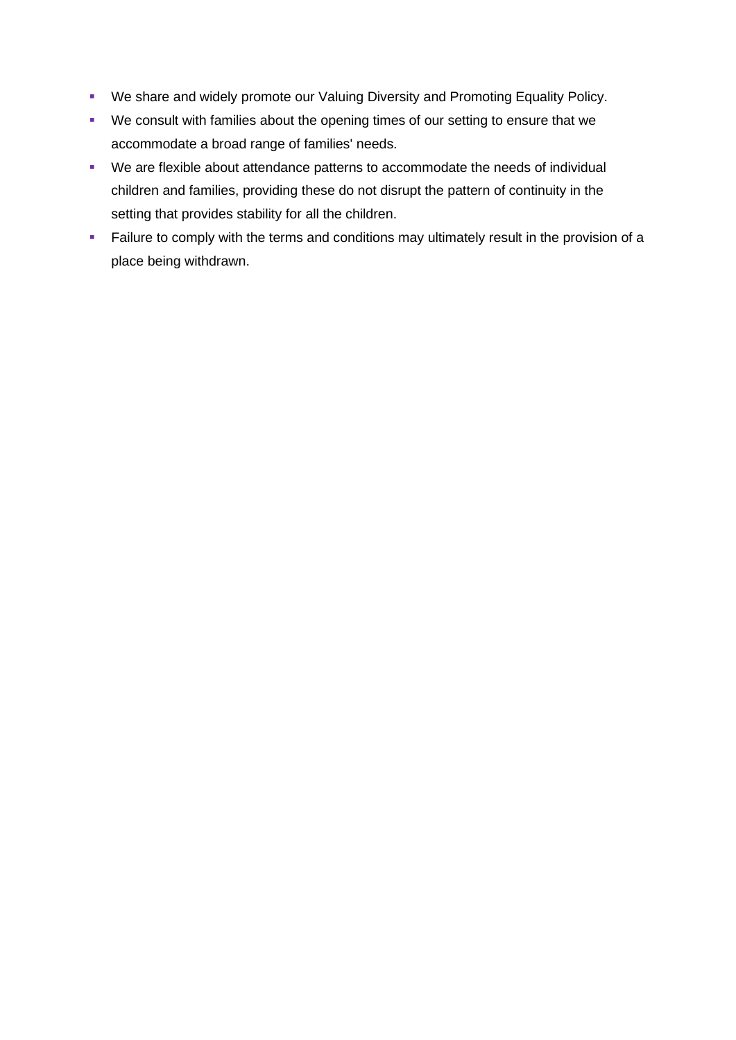- We share and widely promote our Valuing Diversity and Promoting Equality Policy.
- We consult with families about the opening times of our setting to ensure that we accommodate a broad range of families' needs.
- We are flexible about attendance patterns to accommodate the needs of individual children and families, providing these do not disrupt the pattern of continuity in the setting that provides stability for all the children.
- **EXECT** Failure to comply with the terms and conditions may ultimately result in the provision of a place being withdrawn.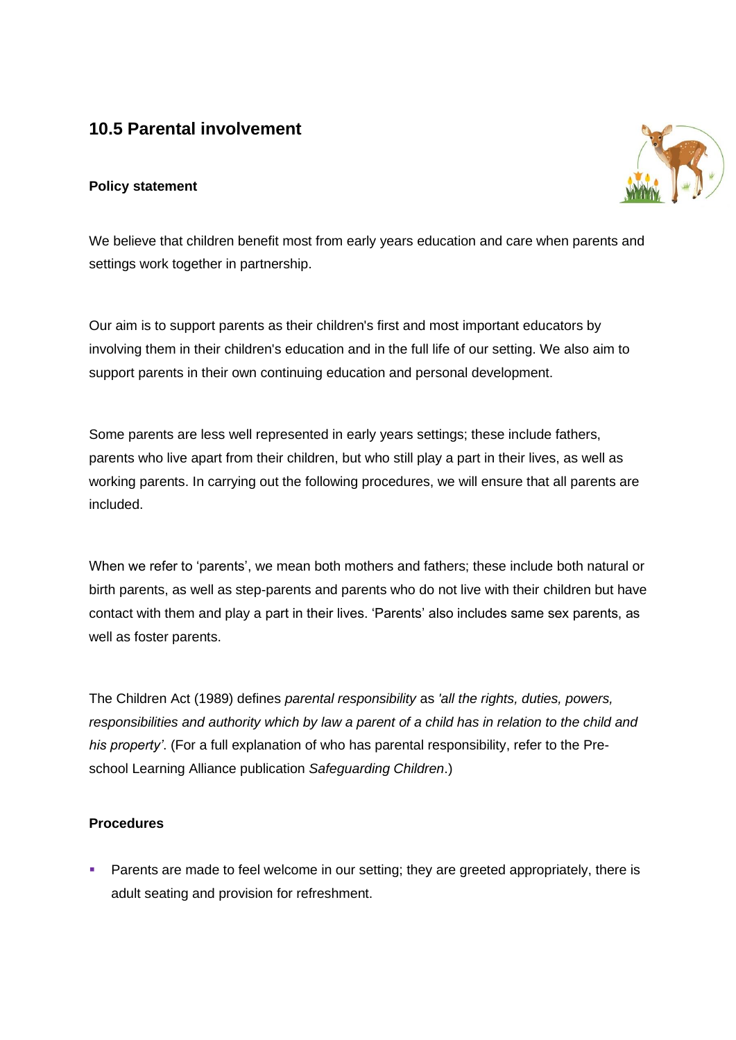## **10.5 Parental involvement**

## **Policy statement**



We believe that children benefit most from early years education and care when parents and settings work together in partnership.

Our aim is to support parents as their children's first and most important educators by involving them in their children's education and in the full life of our setting. We also aim to support parents in their own continuing education and personal development.

Some parents are less well represented in early years settings; these include fathers, parents who live apart from their children, but who still play a part in their lives, as well as working parents. In carrying out the following procedures, we will ensure that all parents are included.

When we refer to 'parents', we mean both mothers and fathers; these include both natural or birth parents, as well as step-parents and parents who do not live with their children but have contact with them and play a part in their lives. 'Parents' also includes same sex parents, as well as foster parents.

The Children Act (1989) defines *parental responsibility* as *'all the rights, duties, powers, responsibilities and authority which by law a parent of a child has in relation to the child and his property'*. (For a full explanation of who has parental responsibility, refer to the Preschool Learning Alliance publication *Safeguarding Children*.)

#### **Procedures**

**•** Parents are made to feel welcome in our setting; they are greeted appropriately, there is adult seating and provision for refreshment.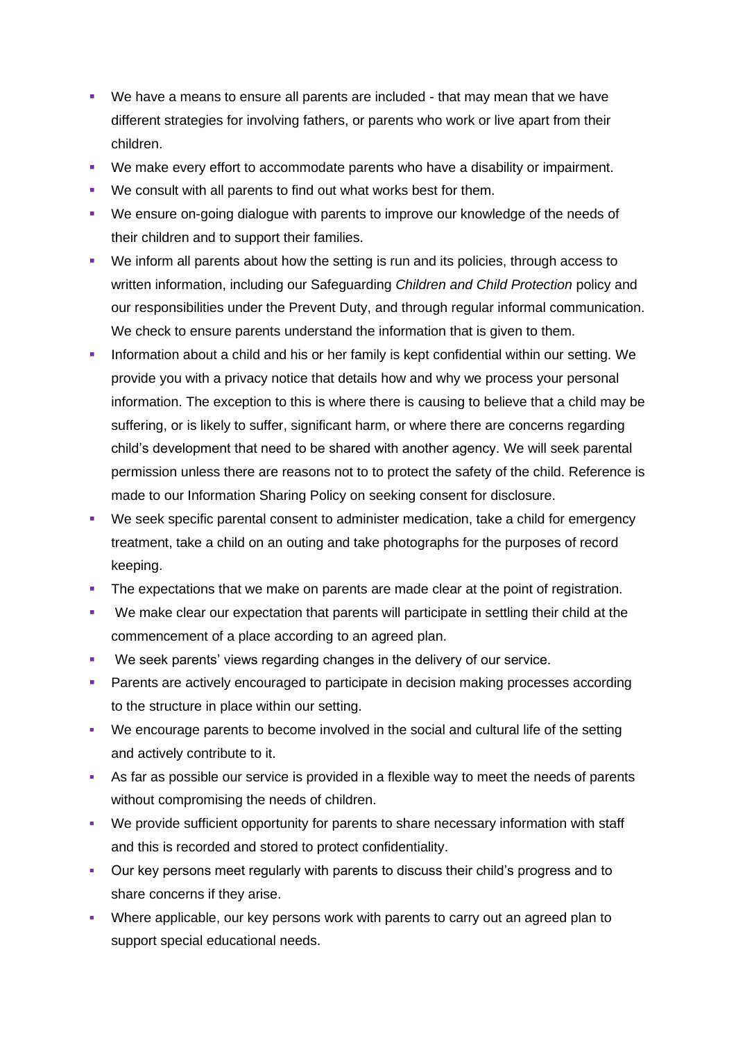- We have a means to ensure all parents are included that may mean that we have different strategies for involving fathers, or parents who work or live apart from their children.
- We make every effort to accommodate parents who have a disability or impairment.
- We consult with all parents to find out what works best for them.
- We ensure on-going dialogue with parents to improve our knowledge of the needs of their children and to support their families.
- We inform all parents about how the setting is run and its policies, through access to written information, including our Safeguarding *Children and Child Protection* policy and our responsibilities under the Prevent Duty, and through regular informal communication. We check to ensure parents understand the information that is given to them.
- **·** Information about a child and his or her family is kept confidential within our setting. We provide you with a privacy notice that details how and why we process your personal information. The exception to this is where there is causing to believe that a child may be suffering, or is likely to suffer, significant harm, or where there are concerns regarding child's development that need to be shared with another agency. We will seek parental permission unless there are reasons not to to protect the safety of the child. Reference is made to our Information Sharing Policy on seeking consent for disclosure.
- We seek specific parental consent to administer medication, take a child for emergency treatment, take a child on an outing and take photographs for the purposes of record keeping.
- **•** The expectations that we make on parents are made clear at the point of registration.
- We make clear our expectation that parents will participate in settling their child at the commencement of a place according to an agreed plan.
- We seek parents' views regarding changes in the delivery of our service.
- **Parents are actively encouraged to participate in decision making processes according** to the structure in place within our setting.
- We encourage parents to become involved in the social and cultural life of the setting and actively contribute to it.
- **•** As far as possible our service is provided in a flexible way to meet the needs of parents without compromising the needs of children.
- We provide sufficient opportunity for parents to share necessary information with staff and this is recorded and stored to protect confidentiality.
- Our key persons meet regularly with parents to discuss their child's progress and to share concerns if they arise.
- Where applicable, our key persons work with parents to carry out an agreed plan to support special educational needs.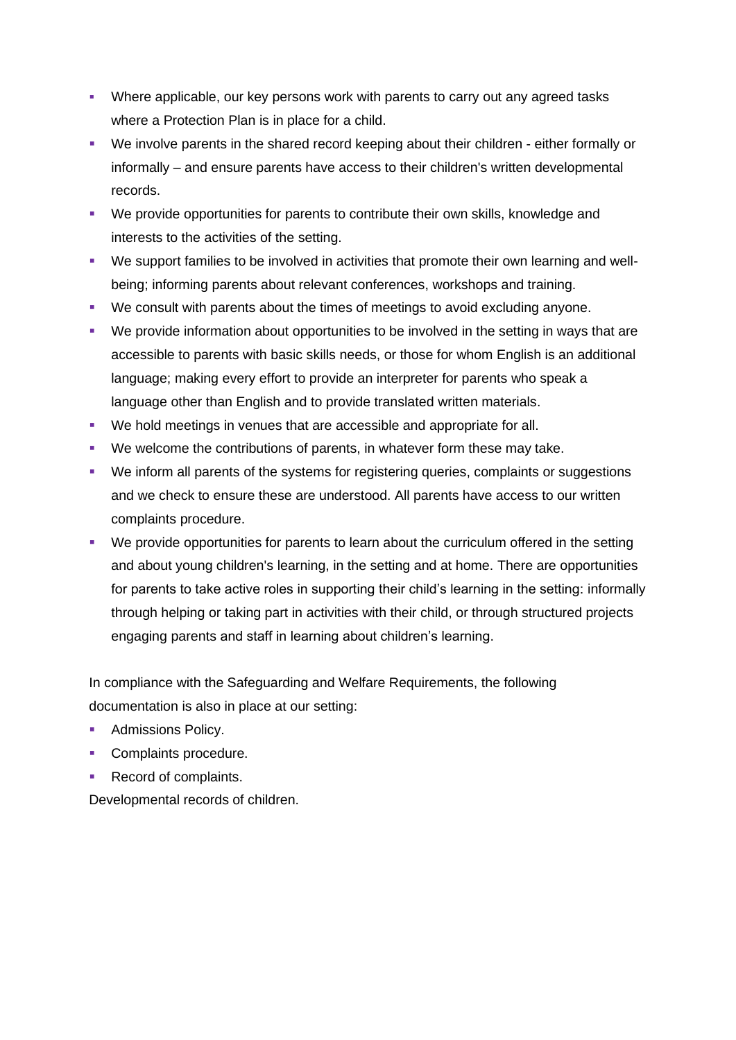- Where applicable, our key persons work with parents to carry out any agreed tasks where a Protection Plan is in place for a child.
- We involve parents in the shared record keeping about their children either formally or informally – and ensure parents have access to their children's written developmental records.
- We provide opportunities for parents to contribute their own skills, knowledge and interests to the activities of the setting.
- We support families to be involved in activities that promote their own learning and wellbeing; informing parents about relevant conferences, workshops and training.
- We consult with parents about the times of meetings to avoid excluding anyone.
- We provide information about opportunities to be involved in the setting in ways that are accessible to parents with basic skills needs, or those for whom English is an additional language; making every effort to provide an interpreter for parents who speak a language other than English and to provide translated written materials.
- We hold meetings in venues that are accessible and appropriate for all.
- We welcome the contributions of parents, in whatever form these may take.
- We inform all parents of the systems for registering queries, complaints or suggestions and we check to ensure these are understood. All parents have access to our written complaints procedure.
- We provide opportunities for parents to learn about the curriculum offered in the setting and about young children's learning, in the setting and at home. There are opportunities for parents to take active roles in supporting their child's learning in the setting: informally through helping or taking part in activities with their child, or through structured projects engaging parents and staff in learning about children's learning.

In compliance with the Safeguarding and Welfare Requirements, the following documentation is also in place at our setting:

- Admissions Policy.
- Complaints procedure.
- Record of complaints.

Developmental records of children.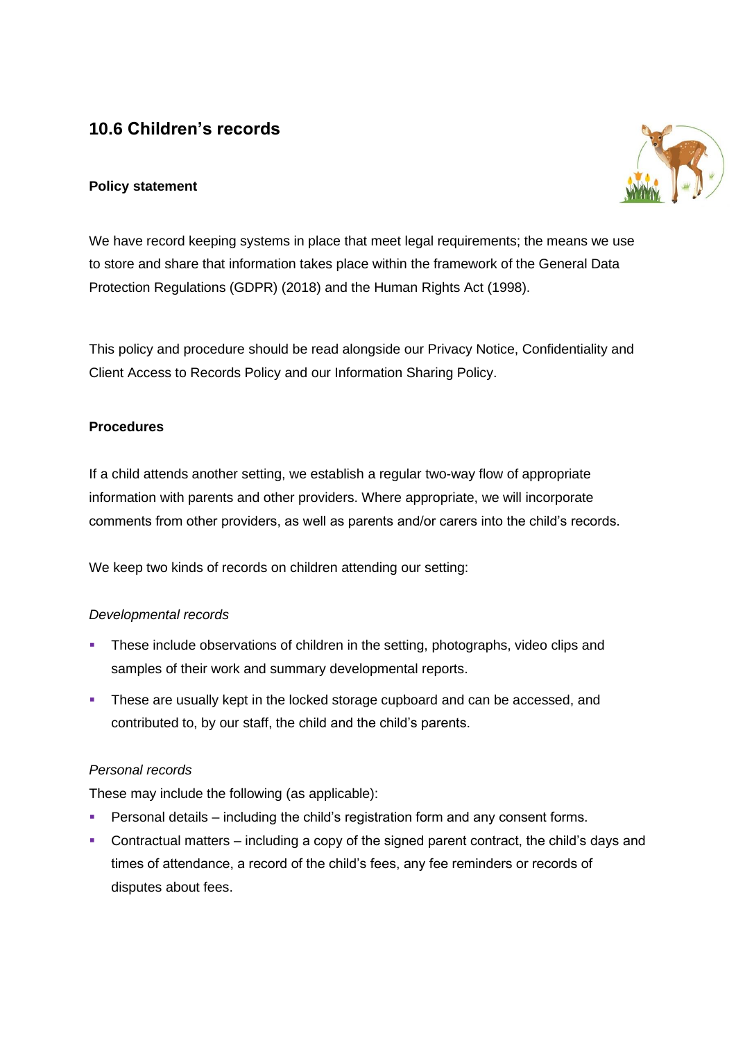# **10.6 Children's records**

## **Policy statement**



We have record keeping systems in place that meet legal requirements; the means we use to store and share that information takes place within the framework of the General Data Protection Regulations (GDPR) (2018) and the Human Rights Act (1998).

This policy and procedure should be read alongside our Privacy Notice, Confidentiality and Client Access to Records Policy and our Information Sharing Policy.

## **Procedures**

If a child attends another setting, we establish a regular two-way flow of appropriate information with parents and other providers. Where appropriate, we will incorporate comments from other providers, as well as parents and/or carers into the child's records.

We keep two kinds of records on children attending our setting:

## *Developmental records*

- **•** These include observations of children in the setting, photographs, video clips and samples of their work and summary developmental reports.
- **These are usually kept in the locked storage cupboard and can be accessed, and** contributed to, by our staff, the child and the child's parents.

## *Personal records*

These may include the following (as applicable):

- Personal details including the child's registration form and any consent forms.
- Contractual matters including a copy of the signed parent contract, the child's days and times of attendance, a record of the child's fees, any fee reminders or records of disputes about fees.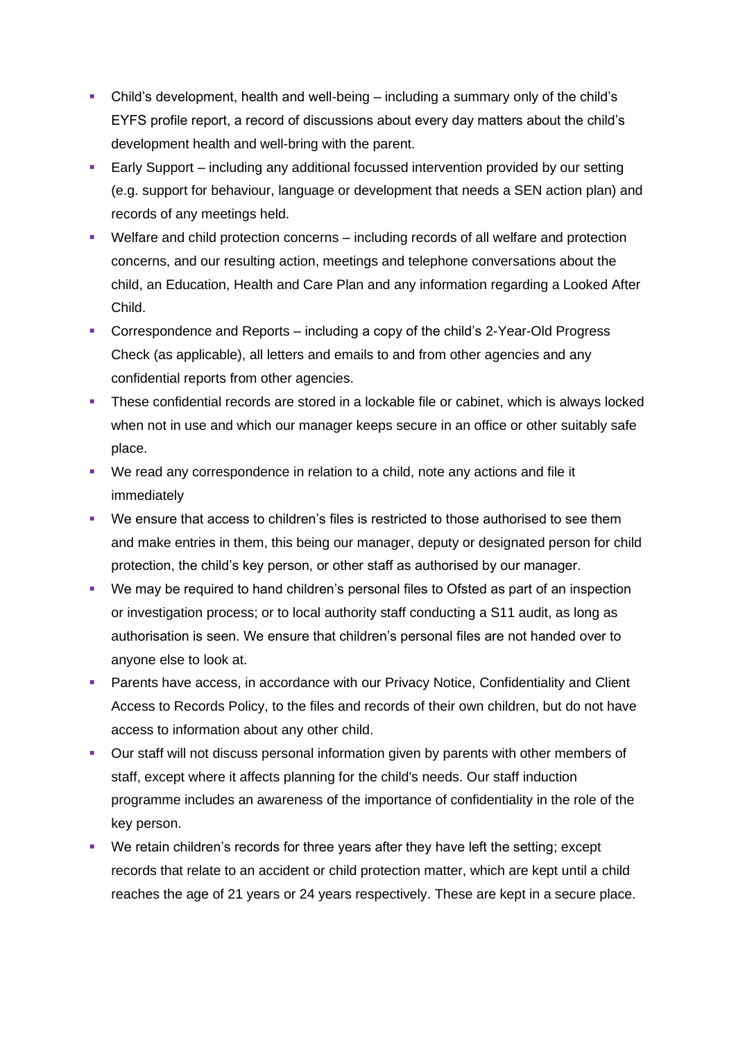- Child's development, health and well-being including a summary only of the child's EYFS profile report, a record of discussions about every day matters about the child's development health and well-bring with the parent.
- **Early Support** including any additional focussed intervention provided by our setting (e.g. support for behaviour, language or development that needs a SEN action plan) and records of any meetings held.
- Welfare and child protection concerns including records of all welfare and protection concerns, and our resulting action, meetings and telephone conversations about the child, an Education, Health and Care Plan and any information regarding a Looked After Child.
- Correspondence and Reports including a copy of the child's 2-Year-Old Progress Check (as applicable), all letters and emails to and from other agencies and any confidential reports from other agencies.
- **•** These confidential records are stored in a lockable file or cabinet, which is always locked when not in use and which our manager keeps secure in an office or other suitably safe place.
- We read any correspondence in relation to a child, note any actions and file it immediately
- We ensure that access to children's files is restricted to those authorised to see them and make entries in them, this being our manager, deputy or designated person for child protection, the child's key person, or other staff as authorised by our manager.
- We may be required to hand children's personal files to Ofsted as part of an inspection or investigation process; or to local authority staff conducting a S11 audit, as long as authorisation is seen. We ensure that children's personal files are not handed over to anyone else to look at.
- **Parents have access, in accordance with our Privacy Notice, Confidentiality and Client** Access to Records Policy, to the files and records of their own children, but do not have access to information about any other child.
- Our staff will not discuss personal information given by parents with other members of staff, except where it affects planning for the child's needs. Our staff induction programme includes an awareness of the importance of confidentiality in the role of the key person.
- We retain children's records for three years after they have left the setting; except records that relate to an accident or child protection matter, which are kept until a child reaches the age of 21 years or 24 years respectively. These are kept in a secure place.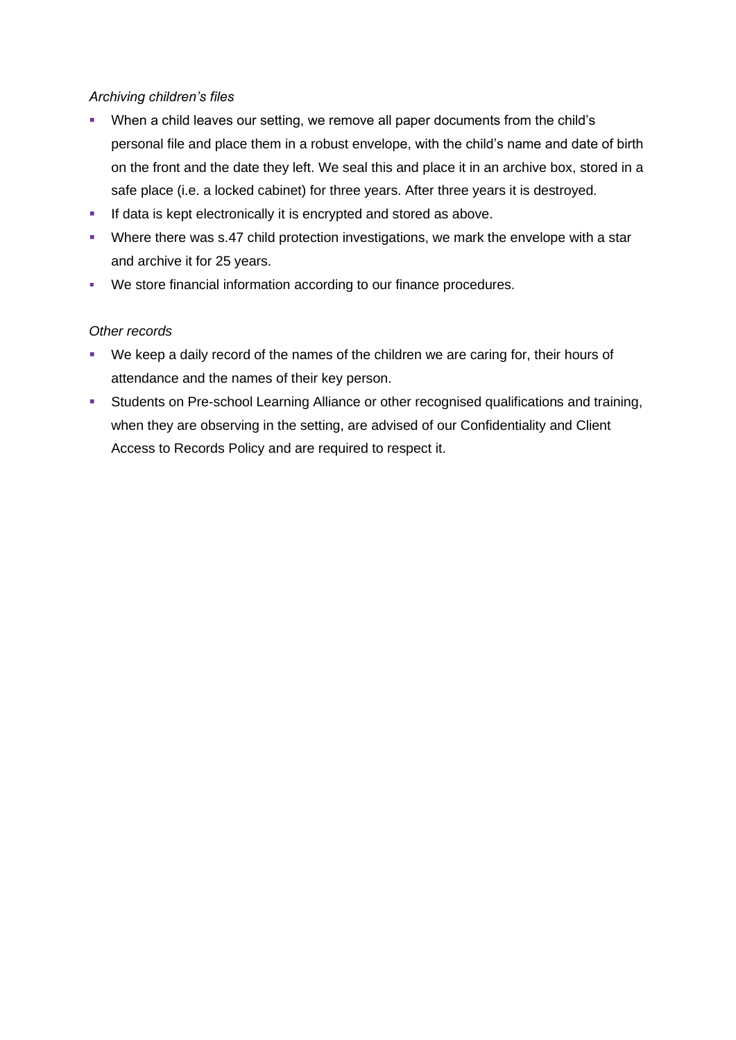## *Archiving children's files*

- When a child leaves our setting, we remove all paper documents from the child's personal file and place them in a robust envelope, with the child's name and date of birth on the front and the date they left. We seal this and place it in an archive box, stored in a safe place (i.e. a locked cabinet) for three years. After three years it is destroyed.
- **EXECT** If data is kept electronically it is encrypted and stored as above.
- **Where there was s.47 child protection investigations, we mark the envelope with a star** and archive it for 25 years.
- We store financial information according to our finance procedures.

## *Other records*

- We keep a daily record of the names of the children we are caring for, their hours of attendance and the names of their key person.
- **EXECT** Students on Pre-school Learning Alliance or other recognised qualifications and training, when they are observing in the setting, are advised of our Confidentiality and Client Access to Records Policy and are required to respect it.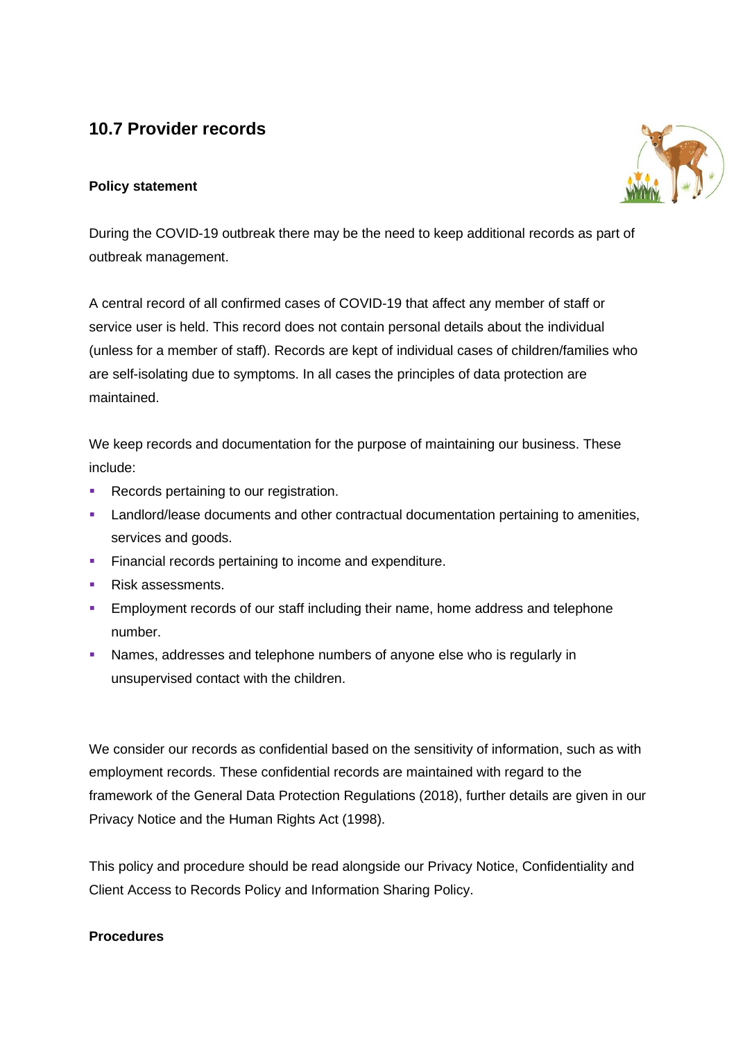# **10.7 Provider records**

## **Policy statement**



During the COVID-19 outbreak there may be the need to keep additional records as part of outbreak management.

A central record of all confirmed cases of COVID-19 that affect any member of staff or service user is held. This record does not contain personal details about the individual (unless for a member of staff). Records are kept of individual cases of children/families who are self-isolating due to symptoms. In all cases the principles of data protection are maintained.

We keep records and documentation for the purpose of maintaining our business. These include:

- Records pertaining to our registration.
- **EXECUTE:** Landlord/lease documents and other contractual documentation pertaining to amenities, services and goods.
- **EXECTE Financial records pertaining to income and expenditure.**
- Risk assessments.
- **Employment records of our staff including their name, home address and telephone** number.
- **EXED** Names, addresses and telephone numbers of anyone else who is regularly in unsupervised contact with the children.

We consider our records as confidential based on the sensitivity of information, such as with employment records. These confidential records are maintained with regard to the framework of the General Data Protection Regulations (2018), further details are given in our Privacy Notice and the Human Rights Act (1998).

This policy and procedure should be read alongside our Privacy Notice, Confidentiality and Client Access to Records Policy and Information Sharing Policy.

## **Procedures**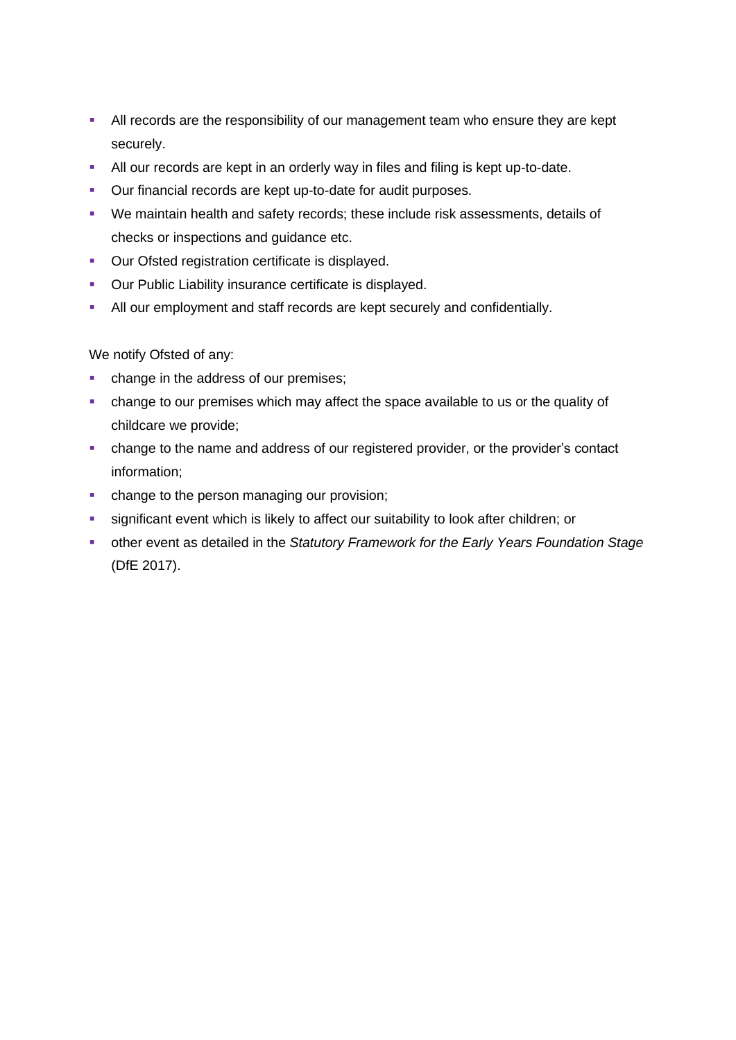- **EXTERM** All records are the responsibility of our management team who ensure they are kept securely.
- **EXEL All our records are kept in an orderly way in files and filing is kept up-to-date.**
- Our financial records are kept up-to-date for audit purposes.
- We maintain health and safety records; these include risk assessments, details of checks or inspections and guidance etc.
- Our Ofsted registration certificate is displayed.
- Our Public Liability insurance certificate is displayed.
- All our employment and staff records are kept securely and confidentially.

We notify Ofsted of any:

- **•** change in the address of our premises;
- change to our premises which may affect the space available to us or the quality of childcare we provide;
- change to the name and address of our registered provider, or the provider's contact information;
- **•** change to the person managing our provision;
- **EXEDENT** significant event which is likely to affect our suitability to look after children; or
- other event as detailed in the *Statutory Framework for the Early Years Foundation Stage* (DfE 2017).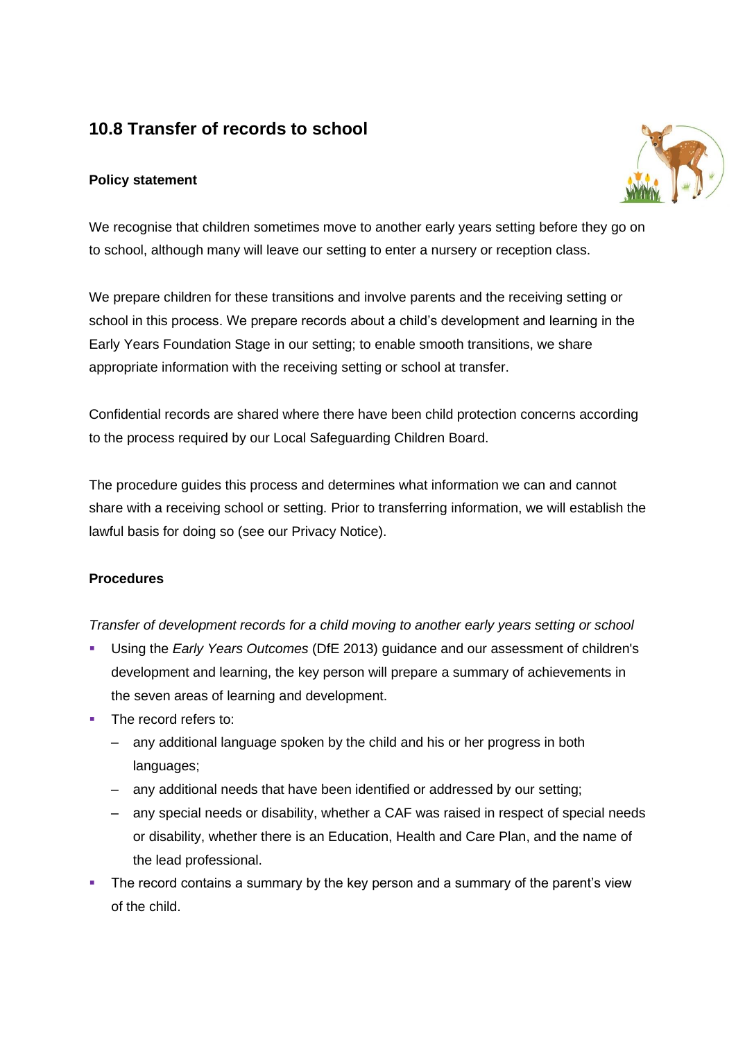# **10.8 Transfer of records to school**

## **Policy statement**



We recognise that children sometimes move to another early years setting before they go on to school, although many will leave our setting to enter a nursery or reception class.

We prepare children for these transitions and involve parents and the receiving setting or school in this process. We prepare records about a child's development and learning in the Early Years Foundation Stage in our setting; to enable smooth transitions, we share appropriate information with the receiving setting or school at transfer.

Confidential records are shared where there have been child protection concerns according to the process required by our Local Safeguarding Children Board.

The procedure guides this process and determines what information we can and cannot share with a receiving school or setting. Prior to transferring information, we will establish the lawful basis for doing so (see our Privacy Notice).

## **Procedures**

*Transfer of development records for a child moving to another early years setting or school*

- Using the *Early Years Outcomes* (DfE 2013) guidance and our assessment of children's development and learning, the key person will prepare a summary of achievements in the seven areas of learning and development.
- **The record refers to:** 
	- any additional language spoken by the child and his or her progress in both languages;
	- any additional needs that have been identified or addressed by our setting;
	- any special needs or disability, whether a CAF was raised in respect of special needs or disability, whether there is an Education, Health and Care Plan, and the name of the lead professional.
- **•** The record contains a summary by the key person and a summary of the parent's view of the child.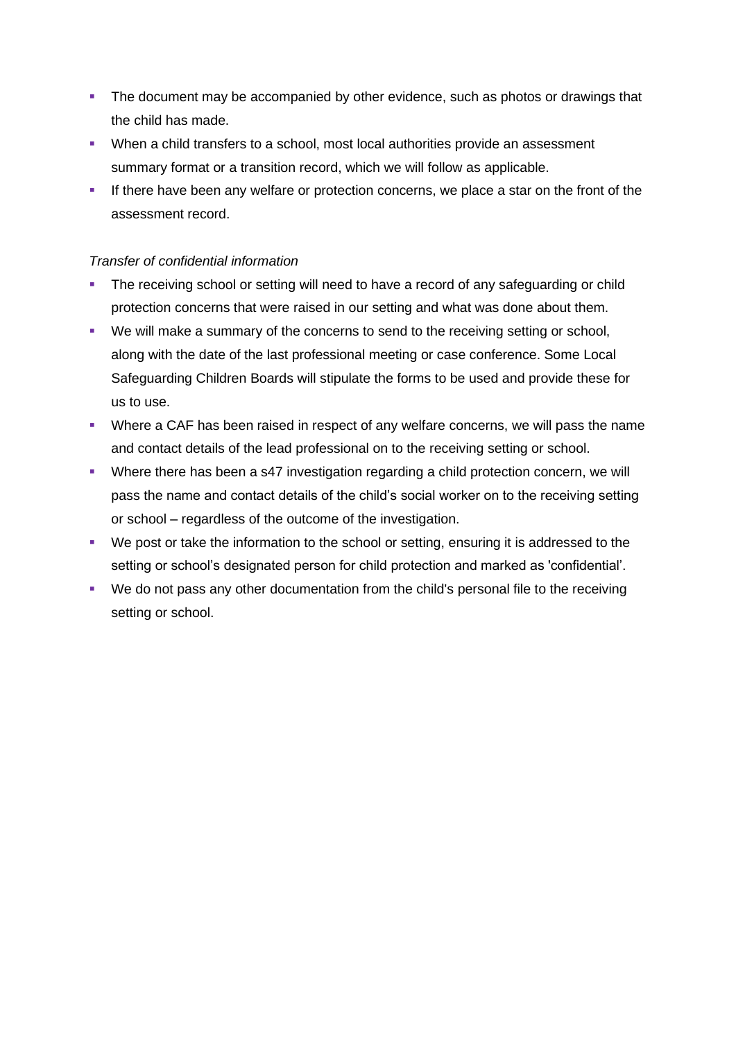- **The document may be accompanied by other evidence, such as photos or drawings that** the child has made.
- When a child transfers to a school, most local authorities provide an assessment summary format or a transition record, which we will follow as applicable.
- **.** If there have been any welfare or protection concerns, we place a star on the front of the assessment record.

## *Transfer of confidential information*

- The receiving school or setting will need to have a record of any safeguarding or child protection concerns that were raised in our setting and what was done about them.
- We will make a summary of the concerns to send to the receiving setting or school, along with the date of the last professional meeting or case conference. Some Local Safeguarding Children Boards will stipulate the forms to be used and provide these for us to use.
- **Where a CAF has been raised in respect of any welfare concerns, we will pass the name** and contact details of the lead professional on to the receiving setting or school.
- Where there has been a s47 investigation regarding a child protection concern, we will pass the name and contact details of the child's social worker on to the receiving setting or school – regardless of the outcome of the investigation.
- We post or take the information to the school or setting, ensuring it is addressed to the setting or school's designated person for child protection and marked as 'confidential'.
- We do not pass any other documentation from the child's personal file to the receiving setting or school.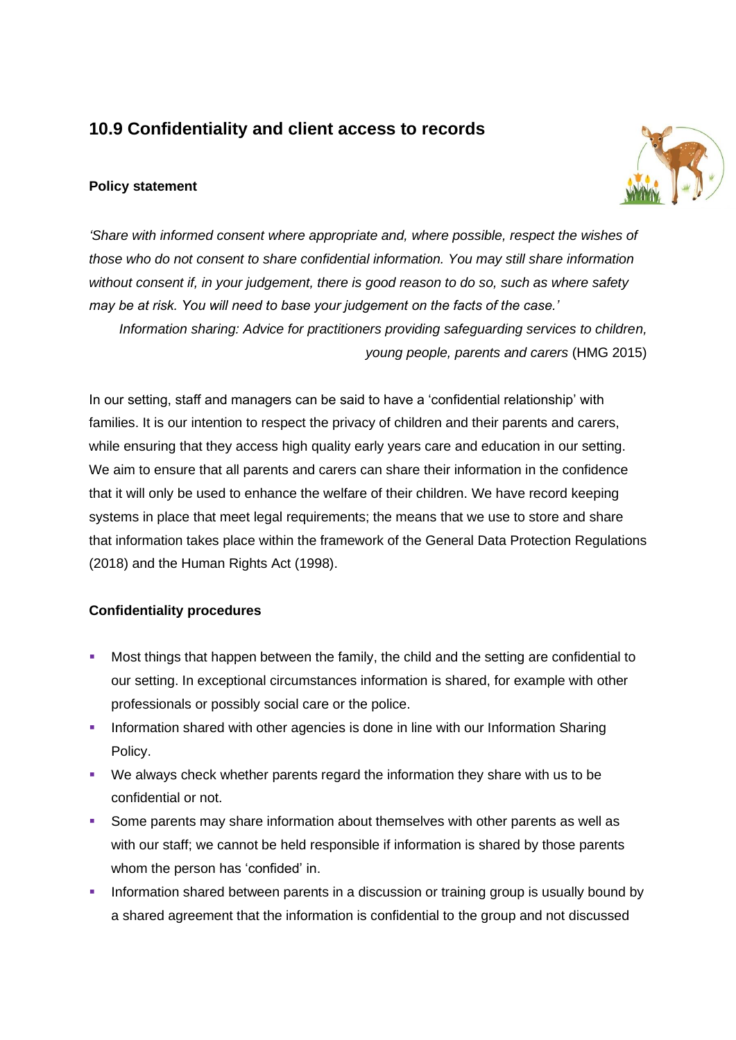## **10.9 Confidentiality and client access to records**

## **Policy statement**



*'Share with informed consent where appropriate and, where possible, respect the wishes of those who do not consent to share confidential information. You may still share information without consent if, in your judgement, there is good reason to do so, such as where safety may be at risk. You will need to base your judgement on the facts of the case.'*

*Information sharing: Advice for practitioners providing safeguarding services to children, young people, parents and carers* (HMG 2015)

In our setting, staff and managers can be said to have a 'confidential relationship' with families. It is our intention to respect the privacy of children and their parents and carers, while ensuring that they access high quality early years care and education in our setting. We aim to ensure that all parents and carers can share their information in the confidence that it will only be used to enhance the welfare of their children. We have record keeping systems in place that meet legal requirements; the means that we use to store and share that information takes place within the framework of the General Data Protection Regulations (2018) and the Human Rights Act (1998).

#### **Confidentiality procedures**

- Most things that happen between the family, the child and the setting are confidential to our setting. In exceptional circumstances information is shared, for example with other professionals or possibly social care or the police.
- **Information shared with other agencies is done in line with our Information Sharing** Policy.
- We always check whether parents regard the information they share with us to be confidential or not.
- **•** Some parents may share information about themselves with other parents as well as with our staff; we cannot be held responsible if information is shared by those parents whom the person has 'confided' in.
- **•** Information shared between parents in a discussion or training group is usually bound by a shared agreement that the information is confidential to the group and not discussed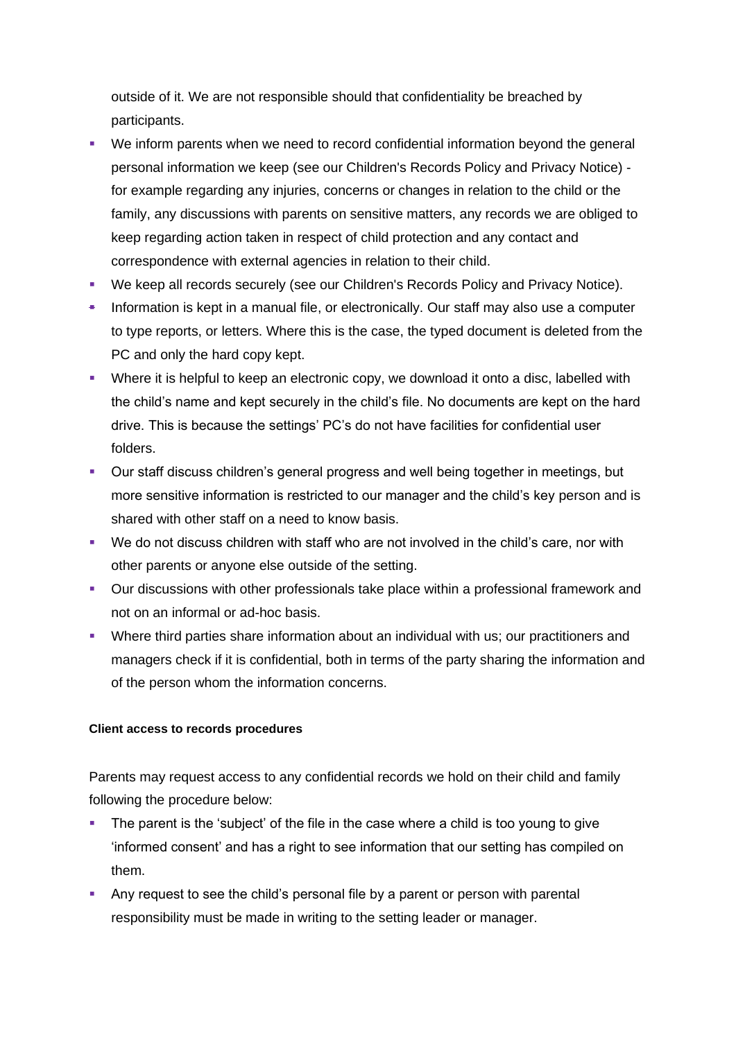outside of it. We are not responsible should that confidentiality be breached by participants.

- We inform parents when we need to record confidential information beyond the general personal information we keep (see our Children's Records Policy and Privacy Notice) for example regarding any injuries, concerns or changes in relation to the child or the family, any discussions with parents on sensitive matters, any records we are obliged to keep regarding action taken in respect of child protection and any contact and correspondence with external agencies in relation to their child.
- We keep all records securely (see our Children's Records Policy and Privacy Notice).
- Information is kept in a manual file, or electronically. Our staff may also use a computer to type reports, or letters. Where this is the case, the typed document is deleted from the PC and only the hard copy kept.
- Where it is helpful to keep an electronic copy, we download it onto a disc, labelled with the child's name and kept securely in the child's file. No documents are kept on the hard drive. This is because the settings' PC's do not have facilities for confidential user folders.
- Our staff discuss children's general progress and well being together in meetings, but more sensitive information is restricted to our manager and the child's key person and is shared with other staff on a need to know basis.
- We do not discuss children with staff who are not involved in the child's care, nor with other parents or anyone else outside of the setting.
- Our discussions with other professionals take place within a professional framework and not on an informal or ad-hoc basis.
- Where third parties share information about an individual with us; our practitioners and managers check if it is confidential, both in terms of the party sharing the information and of the person whom the information concerns.

#### **Client access to records procedures**

Parents may request access to any confidential records we hold on their child and family following the procedure below:

- The parent is the 'subject' of the file in the case where a child is too young to give 'informed consent' and has a right to see information that our setting has compiled on them.
- **EXT** Any request to see the child's personal file by a parent or person with parental responsibility must be made in writing to the setting leader or manager.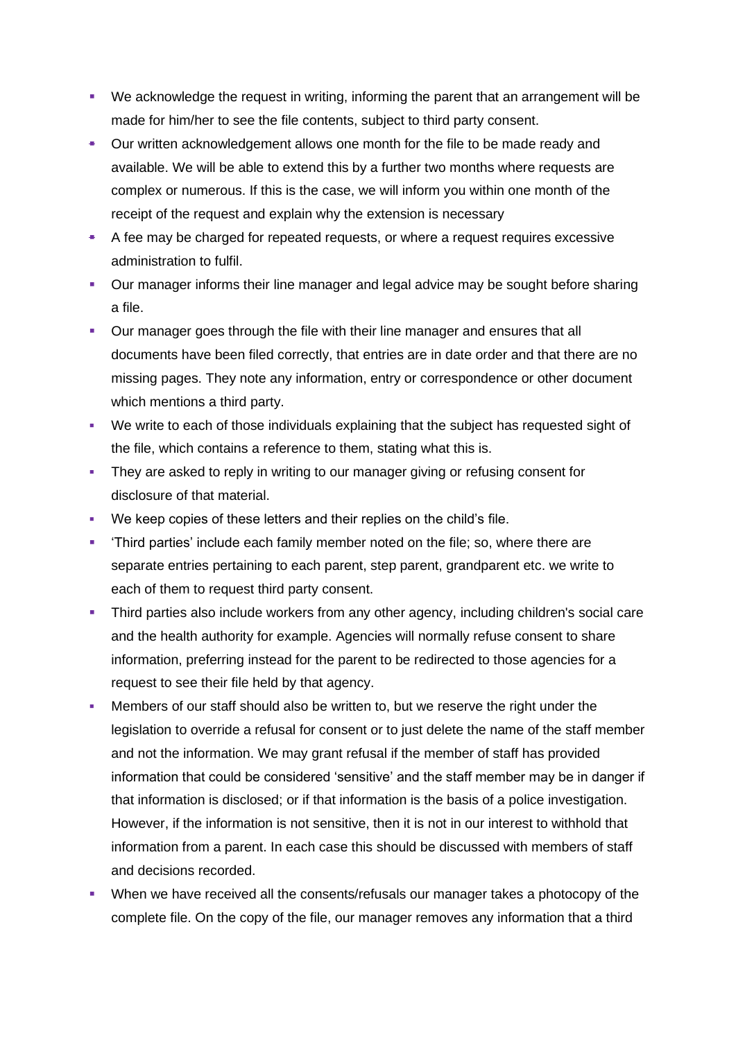- We acknowledge the request in writing, informing the parent that an arrangement will be made for him/her to see the file contents, subject to third party consent.
- Our written acknowledgement allows one month for the file to be made ready and available. We will be able to extend this by a further two months where requests are complex or numerous. If this is the case, we will inform you within one month of the receipt of the request and explain why the extension is necessary
- A fee may be charged for repeated requests, or where a request requires excessive administration to fulfil.
- Our manager informs their line manager and legal advice may be sought before sharing a file.
- Our manager goes through the file with their line manager and ensures that all documents have been filed correctly, that entries are in date order and that there are no missing pages. They note any information, entry or correspondence or other document which mentions a third party.
- We write to each of those individuals explaining that the subject has requested sight of the file, which contains a reference to them, stating what this is.
- **•** They are asked to reply in writing to our manager giving or refusing consent for disclosure of that material.
- We keep copies of these letters and their replies on the child's file.
- **•** 'Third parties' include each family member noted on the file; so, where there are separate entries pertaining to each parent, step parent, grandparent etc. we write to each of them to request third party consent.
- **•** Third parties also include workers from any other agency, including children's social care and the health authority for example. Agencies will normally refuse consent to share information, preferring instead for the parent to be redirected to those agencies for a request to see their file held by that agency.
- Members of our staff should also be written to, but we reserve the right under the legislation to override a refusal for consent or to just delete the name of the staff member and not the information. We may grant refusal if the member of staff has provided information that could be considered 'sensitive' and the staff member may be in danger if that information is disclosed; or if that information is the basis of a police investigation. However, if the information is not sensitive, then it is not in our interest to withhold that information from a parent. In each case this should be discussed with members of staff and decisions recorded.
- **•** When we have received all the consents/refusals our manager takes a photocopy of the complete file. On the copy of the file, our manager removes any information that a third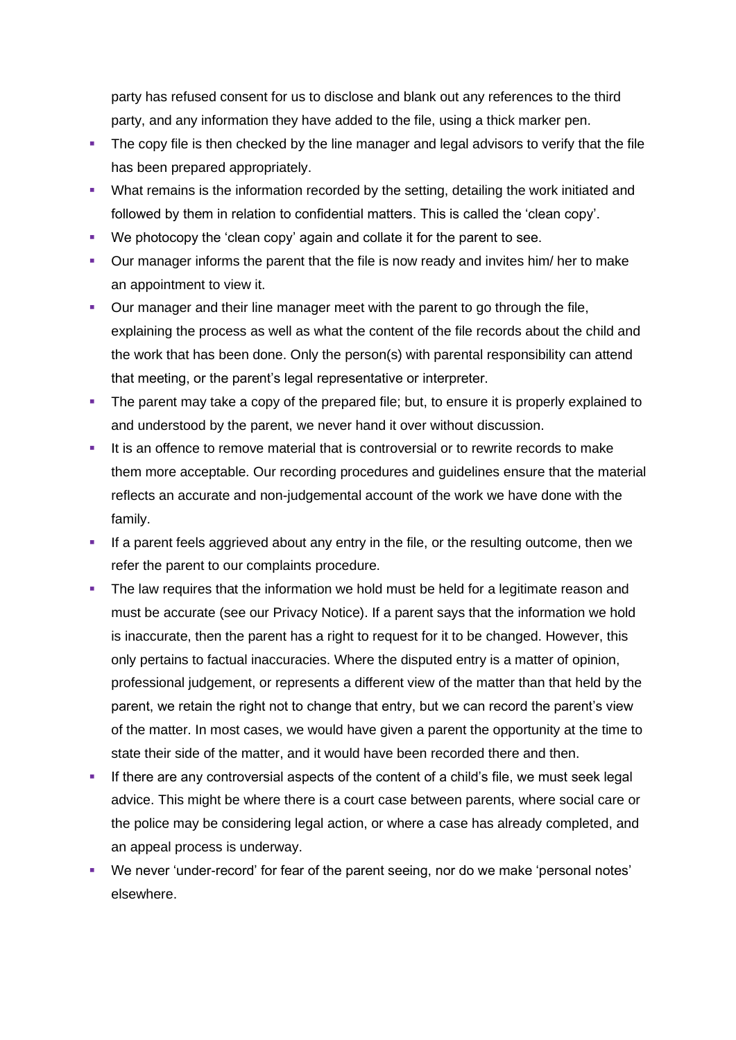party has refused consent for us to disclose and blank out any references to the third party, and any information they have added to the file, using a thick marker pen.

- **•** The copy file is then checked by the line manager and legal advisors to verify that the file has been prepared appropriately.
- **What remains is the information recorded by the setting, detailing the work initiated and** followed by them in relation to confidential matters. This is called the 'clean copy'.
- We photocopy the 'clean copy' again and collate it for the parent to see.
- Our manager informs the parent that the file is now ready and invites him/ her to make an appointment to view it.
- **Our manager and their line manager meet with the parent to go through the file,** explaining the process as well as what the content of the file records about the child and the work that has been done. Only the person(s) with parental responsibility can attend that meeting, or the parent's legal representative or interpreter.
- **•** The parent may take a copy of the prepared file; but, to ensure it is properly explained to and understood by the parent, we never hand it over without discussion.
- It is an offence to remove material that is controversial or to rewrite records to make them more acceptable. Our recording procedures and guidelines ensure that the material reflects an accurate and non-judgemental account of the work we have done with the family.
- **.** If a parent feels aggrieved about any entry in the file, or the resulting outcome, then we refer the parent to our complaints procedure.
- The law requires that the information we hold must be held for a legitimate reason and must be accurate (see our Privacy Notice). If a parent says that the information we hold is inaccurate, then the parent has a right to request for it to be changed. However, this only pertains to factual inaccuracies. Where the disputed entry is a matter of opinion, professional judgement, or represents a different view of the matter than that held by the parent, we retain the right not to change that entry, but we can record the parent's view of the matter. In most cases, we would have given a parent the opportunity at the time to state their side of the matter, and it would have been recorded there and then.
- **EXECT** If there are any controversial aspects of the content of a child's file, we must seek legal advice. This might be where there is a court case between parents, where social care or the police may be considering legal action, or where a case has already completed, and an appeal process is underway.
- We never 'under-record' for fear of the parent seeing, nor do we make 'personal notes' elsewhere.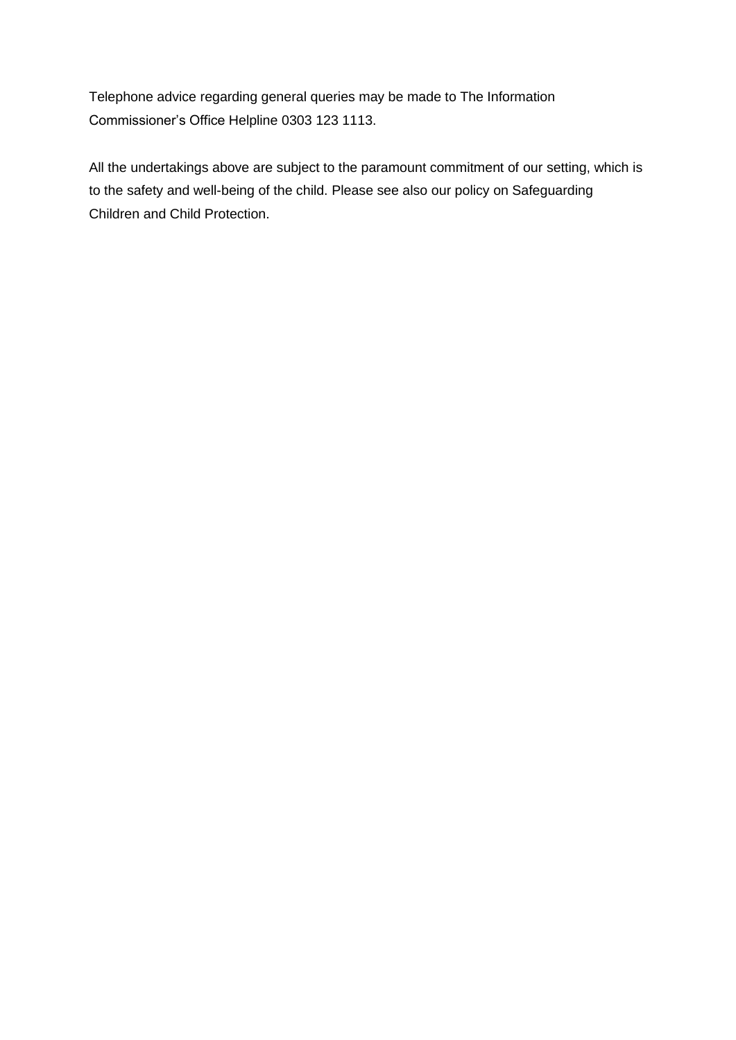Telephone advice regarding general queries may be made to The Information Commissioner's Office Helpline 0303 123 1113.

All the undertakings above are subject to the paramount commitment of our setting, which is to the safety and well-being of the child. Please see also our policy on Safeguarding Children and Child Protection.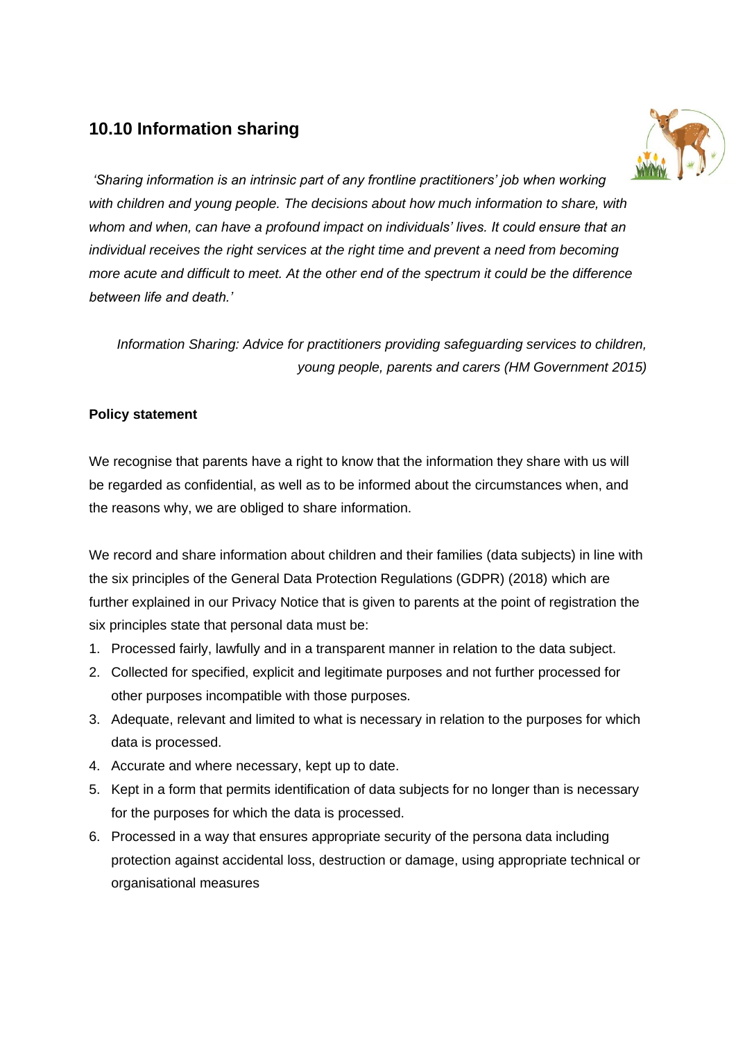## **10.10 Information sharing**



*'Sharing information is an intrinsic part of any frontline practitioners' job when working with children and young people. The decisions about how much information to share, with whom and when, can have a profound impact on individuals' lives. It could ensure that an individual receives the right services at the right time and prevent a need from becoming more acute and difficult to meet. At the other end of the spectrum it could be the difference between life and death.'*

*Information Sharing: Advice for practitioners providing safeguarding services to children, young people, parents and carers (HM Government 2015)*

## **Policy statement**

We recognise that parents have a right to know that the information they share with us will be regarded as confidential, as well as to be informed about the circumstances when, and the reasons why, we are obliged to share information.

We record and share information about children and their families (data subjects) in line with the six principles of the General Data Protection Regulations (GDPR) (2018) which are further explained in our Privacy Notice that is given to parents at the point of registration the six principles state that personal data must be:

- 1. Processed fairly, lawfully and in a transparent manner in relation to the data subject.
- 2. Collected for specified, explicit and legitimate purposes and not further processed for other purposes incompatible with those purposes.
- 3. Adequate, relevant and limited to what is necessary in relation to the purposes for which data is processed.
- 4. Accurate and where necessary, kept up to date.
- 5. Kept in a form that permits identification of data subjects for no longer than is necessary for the purposes for which the data is processed.
- 6. Processed in a way that ensures appropriate security of the persona data including protection against accidental loss, destruction or damage, using appropriate technical or organisational measures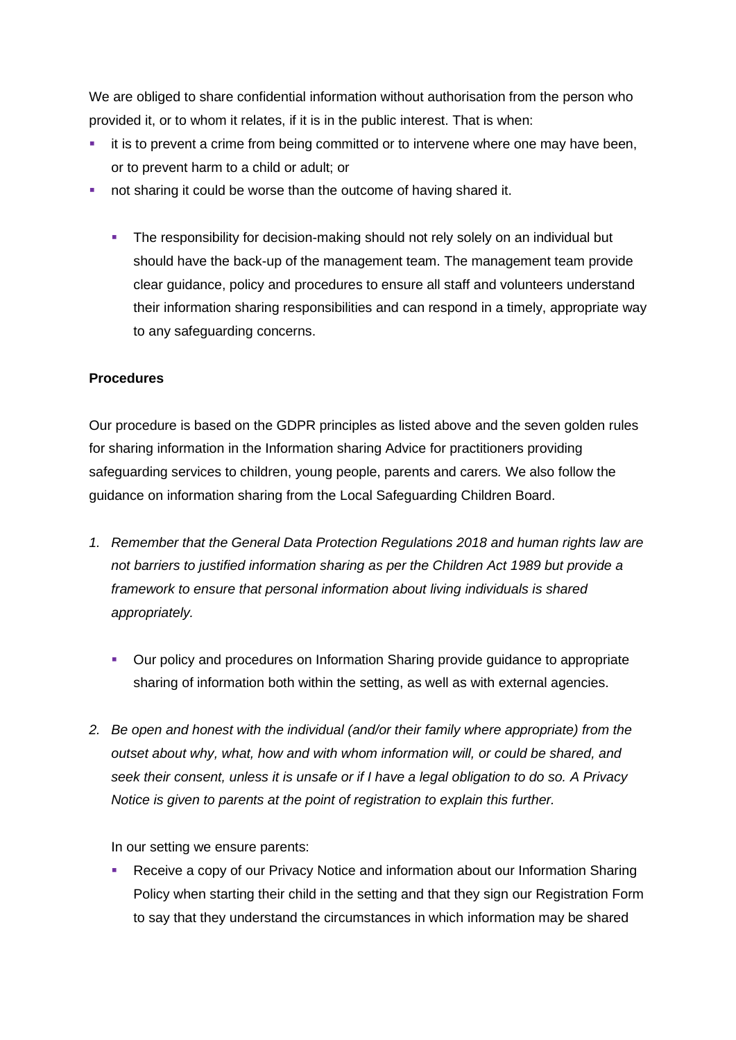We are obliged to share confidential information without authorisation from the person who provided it, or to whom it relates, if it is in the public interest. That is when:

- it is to prevent a crime from being committed or to intervene where one may have been, or to prevent harm to a child or adult; or
- not sharing it could be worse than the outcome of having shared it.
	- **•** The responsibility for decision-making should not rely solely on an individual but should have the back-up of the management team. The management team provide clear guidance, policy and procedures to ensure all staff and volunteers understand their information sharing responsibilities and can respond in a timely, appropriate way to any safeguarding concerns.

#### **Procedures**

Our procedure is based on the GDPR principles as listed above and the seven golden rules for sharing information in the Information sharing Advice for practitioners providing safeguarding services to children, young people, parents and carers*.* We also follow the guidance on information sharing from the Local Safeguarding Children Board.

- *1. Remember that the General Data Protection Regulations 2018 and human rights law are not barriers to justified information sharing as per the Children Act 1989 but provide a framework to ensure that personal information about living individuals is shared appropriately.*
	- Our policy and procedures on Information Sharing provide guidance to appropriate sharing of information both within the setting, as well as with external agencies.
- *2. Be open and honest with the individual (and/or their family where appropriate) from the outset about why, what, how and with whom information will, or could be shared, and seek their consent, unless it is unsafe or if I have a legal obligation to do so. A Privacy Notice is given to parents at the point of registration to explain this further.*

In our setting we ensure parents:

Receive a copy of our Privacy Notice and information about our Information Sharing Policy when starting their child in the setting and that they sign our Registration Form to say that they understand the circumstances in which information may be shared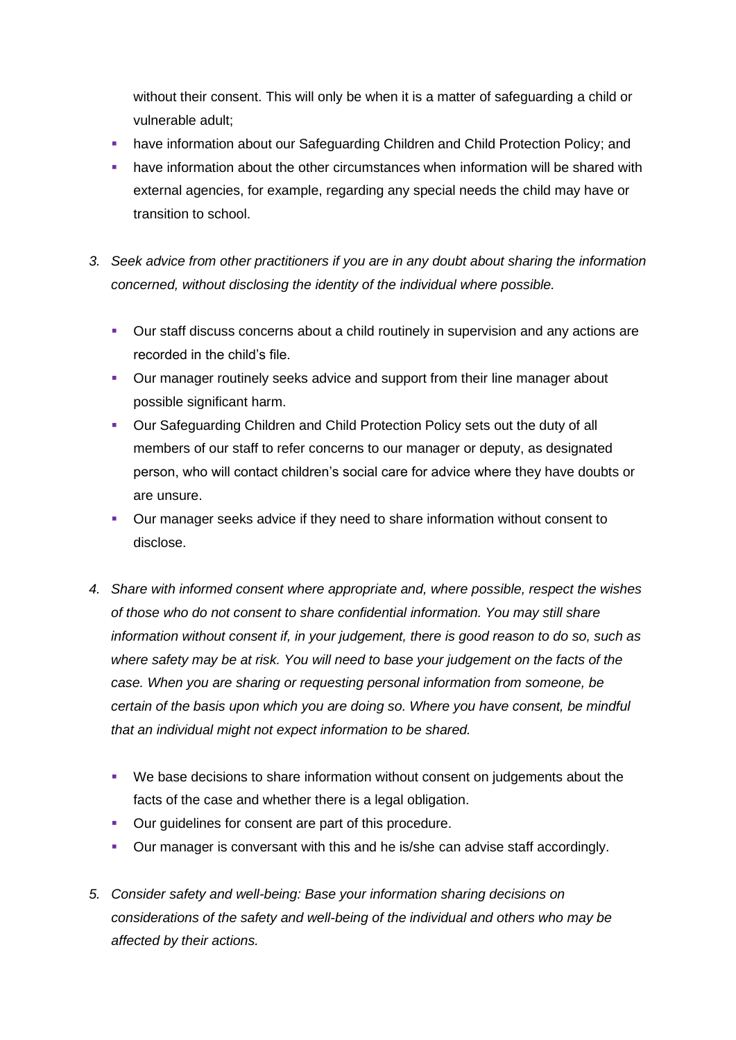without their consent. This will only be when it is a matter of safeguarding a child or vulnerable adult;

- have information about our Safeguarding Children and Child Protection Policy; and
- **•** have information about the other circumstances when information will be shared with external agencies, for example, regarding any special needs the child may have or transition to school.
- *3. Seek advice from other practitioners if you are in any doubt about sharing the information concerned, without disclosing the identity of the individual where possible.*
	- Our staff discuss concerns about a child routinely in supervision and any actions are recorded in the child's file.
	- **Our manager routinely seeks advice and support from their line manager about** possible significant harm.
	- Our Safeguarding Children and Child Protection Policy sets out the duty of all members of our staff to refer concerns to our manager or deputy, as designated person, who will contact children's social care for advice where they have doubts or are unsure.
	- Our manager seeks advice if they need to share information without consent to disclose.
- *4. Share with informed consent where appropriate and, where possible, respect the wishes of those who do not consent to share confidential information. You may still share information without consent if, in your judgement, there is good reason to do so, such as where safety may be at risk. You will need to base your judgement on the facts of the case. When you are sharing or requesting personal information from someone, be certain of the basis upon which you are doing so. Where you have consent, be mindful that an individual might not expect information to be shared.* 
	- We base decisions to share information without consent on judgements about the facts of the case and whether there is a legal obligation.
	- Our guidelines for consent are part of this procedure.
	- Our manager is conversant with this and he is/she can advise staff accordingly.
- *5. Consider safety and well-being: Base your information sharing decisions on considerations of the safety and well-being of the individual and others who may be affected by their actions.*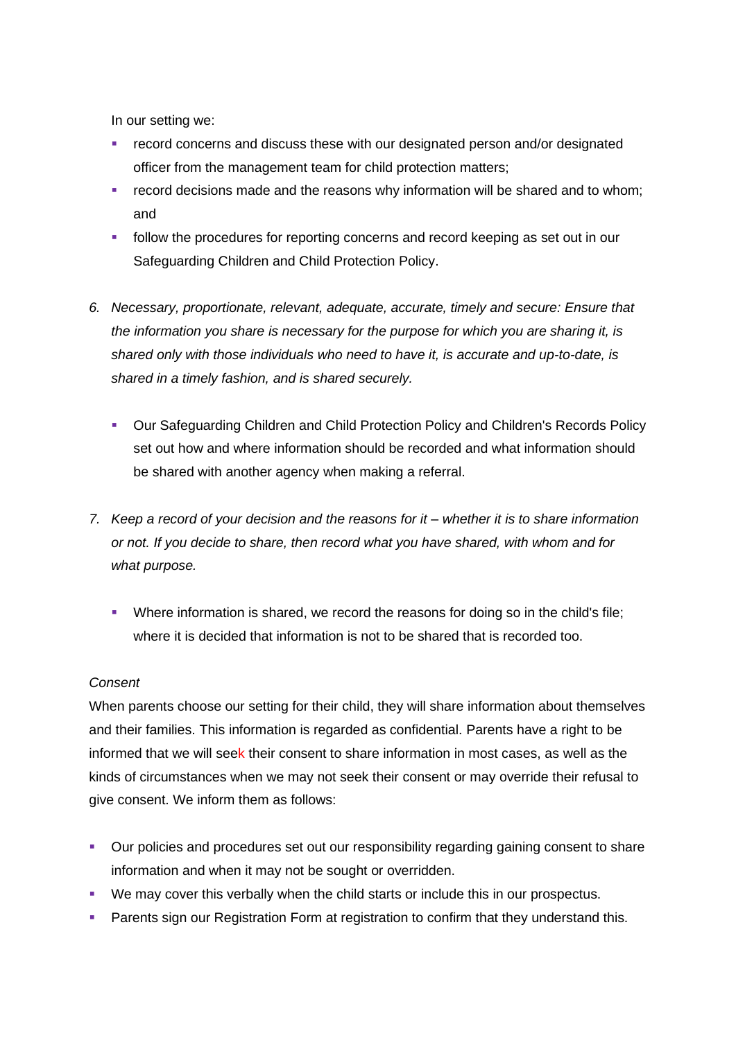In our setting we:

- record concerns and discuss these with our designated person and/or designated officer from the management team for child protection matters;
- **•** record decisions made and the reasons why information will be shared and to whom; and
- **•** follow the procedures for reporting concerns and record keeping as set out in our Safeguarding Children and Child Protection Policy.
- *6. Necessary, proportionate, relevant, adequate, accurate, timely and secure: Ensure that the information you share is necessary for the purpose for which you are sharing it, is shared only with those individuals who need to have it, is accurate and up-to-date, is shared in a timely fashion, and is shared securely.*
	- Our Safeguarding Children and Child Protection Policy and Children's Records Policy set out how and where information should be recorded and what information should be shared with another agency when making a referral.
- *7. Keep a record of your decision and the reasons for it – whether it is to share information or not. If you decide to share, then record what you have shared, with whom and for what purpose.*
	- Where information is shared, we record the reasons for doing so in the child's file; where it is decided that information is not to be shared that is recorded too.

#### *Consent*

When parents choose our setting for their child, they will share information about themselves and their families. This information is regarded as confidential. Parents have a right to be informed that we will seek their consent to share information in most cases, as well as the kinds of circumstances when we may not seek their consent or may override their refusal to give consent. We inform them as follows:

- Our policies and procedures set out our responsibility regarding gaining consent to share information and when it may not be sought or overridden.
- We may cover this verbally when the child starts or include this in our prospectus.
- **Parents sign our Registration Form at registration to confirm that they understand this.**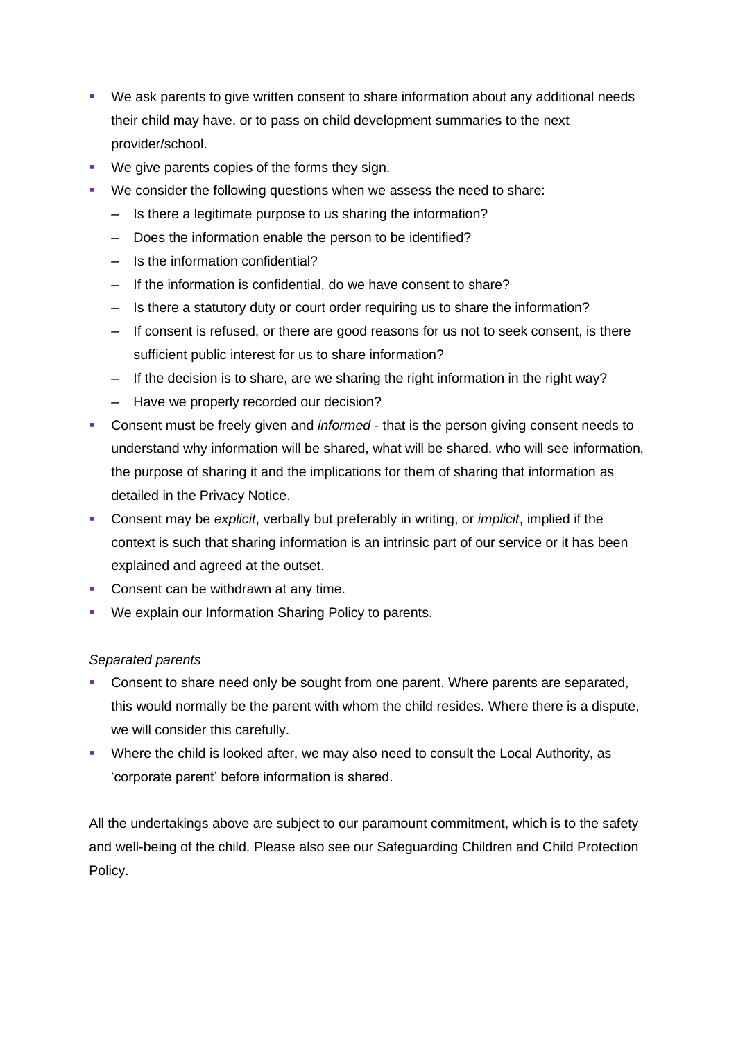- We ask parents to give written consent to share information about any additional needs their child may have, or to pass on child development summaries to the next provider/school.
- We give parents copies of the forms they sign.
- We consider the following questions when we assess the need to share:
	- Is there a legitimate purpose to us sharing the information?
	- Does the information enable the person to be identified?
	- Is the information confidential?
	- If the information is confidential, do we have consent to share?
	- Is there a statutory duty or court order requiring us to share the information?
	- If consent is refused, or there are good reasons for us not to seek consent, is there sufficient public interest for us to share information?
	- If the decision is to share, are we sharing the right information in the right way?
	- Have we properly recorded our decision?
- Consent must be freely given and *informed* that is the person giving consent needs to understand why information will be shared, what will be shared, who will see information, the purpose of sharing it and the implications for them of sharing that information as detailed in the Privacy Notice.
- Consent may be *explicit*, verbally but preferably in writing, or *implicit*, implied if the context is such that sharing information is an intrinsic part of our service or it has been explained and agreed at the outset.
- Consent can be withdrawn at any time.
- We explain our Information Sharing Policy to parents.

## *Separated parents*

- **Consent to share need only be sought from one parent. Where parents are separated,** this would normally be the parent with whom the child resides. Where there is a dispute, we will consider this carefully.
- **Where the child is looked after, we may also need to consult the Local Authority, as** 'corporate parent' before information is shared.

All the undertakings above are subject to our paramount commitment, which is to the safety and well-being of the child. Please also see our Safeguarding Children and Child Protection Policy.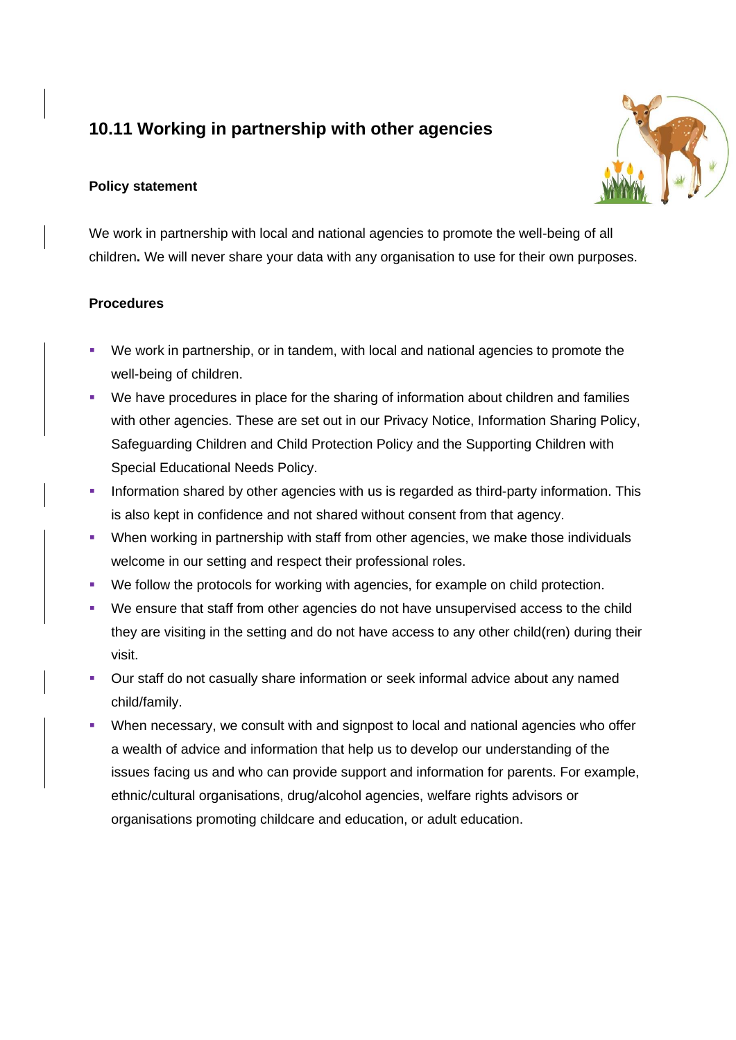# **10.11 Working in partnership with other agencies**

## **Policy statement**



We work in partnership with local and national agencies to promote the well-being of all children**.** We will never share your data with any organisation to use for their own purposes.

## **Procedures**

- We work in partnership, or in tandem, with local and national agencies to promote the well-being of children.
- We have procedures in place for the sharing of information about children and families with other agencies. These are set out in our Privacy Notice, Information Sharing Policy, Safeguarding Children and Child Protection Policy and the Supporting Children with Special Educational Needs Policy.
- **•** Information shared by other agencies with us is regarded as third-party information. This is also kept in confidence and not shared without consent from that agency.
- **•** When working in partnership with staff from other agencies, we make those individuals welcome in our setting and respect their professional roles.
- We follow the protocols for working with agencies, for example on child protection.
- We ensure that staff from other agencies do not have unsupervised access to the child they are visiting in the setting and do not have access to any other child(ren) during their visit.
- **•** Our staff do not casually share information or seek informal advice about any named child/family.
- **•** When necessary, we consult with and signpost to local and national agencies who offer a wealth of advice and information that help us to develop our understanding of the issues facing us and who can provide support and information for parents. For example, ethnic/cultural organisations, drug/alcohol agencies, welfare rights advisors or organisations promoting childcare and education, or adult education.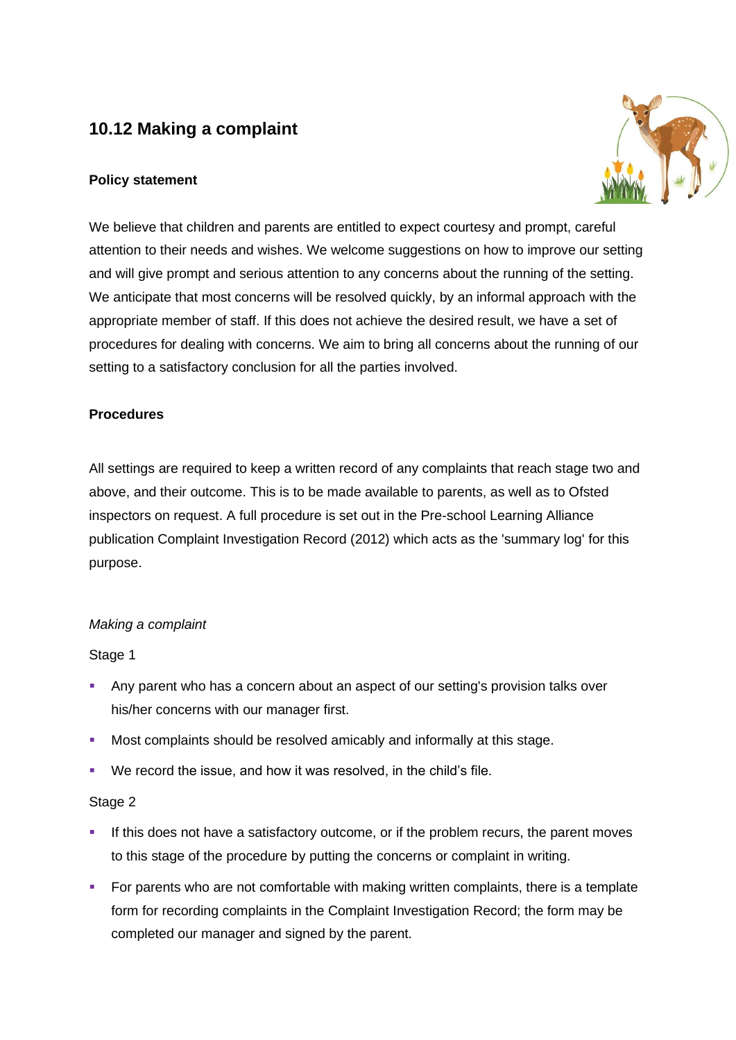# **10.12 Making a complaint**

## **Policy statement**



We believe that children and parents are entitled to expect courtesy and prompt, careful attention to their needs and wishes. We welcome suggestions on how to improve our setting and will give prompt and serious attention to any concerns about the running of the setting. We anticipate that most concerns will be resolved quickly, by an informal approach with the appropriate member of staff. If this does not achieve the desired result, we have a set of procedures for dealing with concerns. We aim to bring all concerns about the running of our setting to a satisfactory conclusion for all the parties involved.

## **Procedures**

All settings are required to keep a written record of any complaints that reach stage two and above, and their outcome. This is to be made available to parents, as well as to Ofsted inspectors on request. A full procedure is set out in the Pre-school Learning Alliance publication Complaint Investigation Record (2012) which acts as the 'summary log' for this purpose.

#### *Making a complaint*

Stage 1

- **EXT** Any parent who has a concern about an aspect of our setting's provision talks over his/her concerns with our manager first.
- Most complaints should be resolved amicably and informally at this stage.
- We record the issue, and how it was resolved, in the child's file.

#### Stage 2

- If this does not have a satisfactory outcome, or if the problem recurs, the parent moves to this stage of the procedure by putting the concerns or complaint in writing.
- For parents who are not comfortable with making written complaints, there is a template form for recording complaints in the Complaint Investigation Record; the form may be completed our manager and signed by the parent.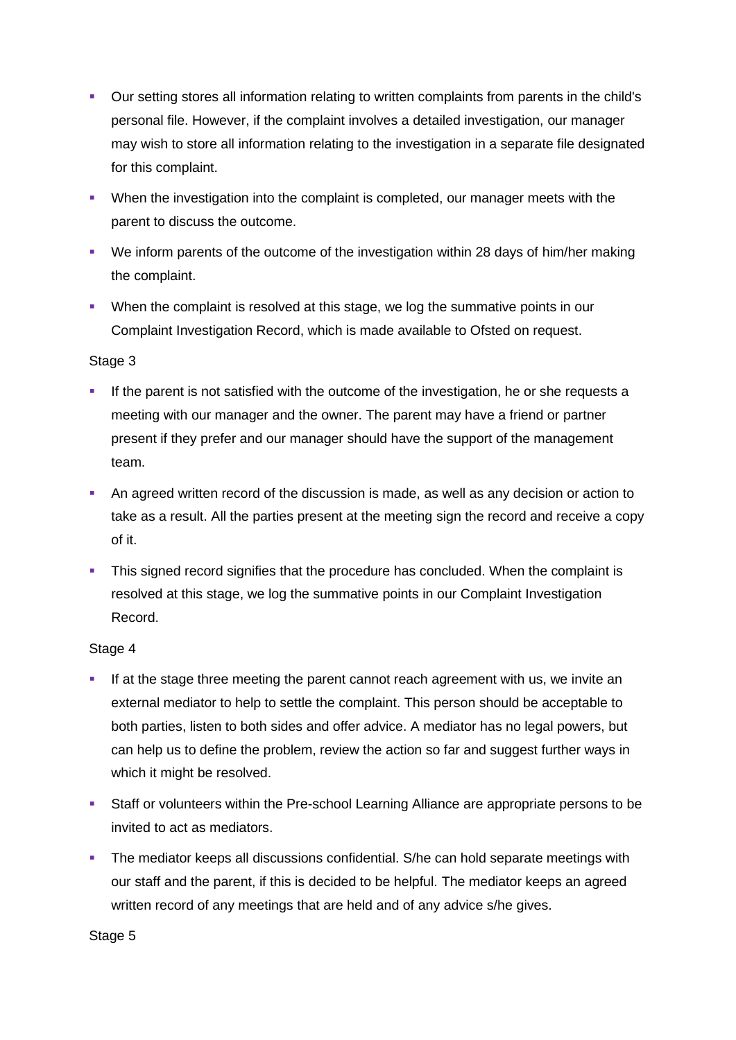- **•** Our setting stores all information relating to written complaints from parents in the child's personal file. However, if the complaint involves a detailed investigation, our manager may wish to store all information relating to the investigation in a separate file designated for this complaint.
- When the investigation into the complaint is completed, our manager meets with the parent to discuss the outcome.
- We inform parents of the outcome of the investigation within 28 days of him/her making the complaint.
- When the complaint is resolved at this stage, we log the summative points in our Complaint Investigation Record, which is made available to Ofsted on request.

## Stage 3

- **.** If the parent is not satisfied with the outcome of the investigation, he or she requests a meeting with our manager and the owner. The parent may have a friend or partner present if they prefer and our manager should have the support of the management team.
- An agreed written record of the discussion is made, as well as any decision or action to take as a result. All the parties present at the meeting sign the record and receive a copy of it.
- **•** This signed record signifies that the procedure has concluded. When the complaint is resolved at this stage, we log the summative points in our Complaint Investigation Record.

## Stage 4

- If at the stage three meeting the parent cannot reach agreement with us, we invite an external mediator to help to settle the complaint. This person should be acceptable to both parties, listen to both sides and offer advice. A mediator has no legal powers, but can help us to define the problem, review the action so far and suggest further ways in which it might be resolved.
- Staff or volunteers within the Pre-school Learning Alliance are appropriate persons to be invited to act as mediators.
- **The mediator keeps all discussions confidential. S/he can hold separate meetings with** our staff and the parent, if this is decided to be helpful. The mediator keeps an agreed written record of any meetings that are held and of any advice s/he gives.

#### Stage 5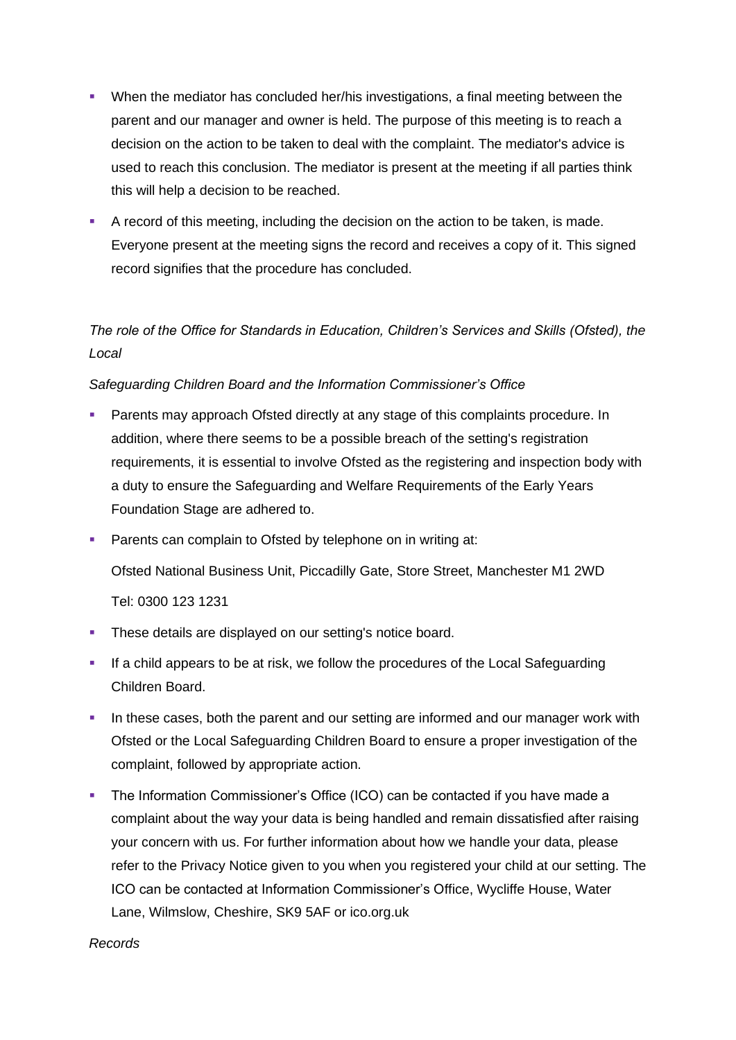- When the mediator has concluded her/his investigations, a final meeting between the parent and our manager and owner is held. The purpose of this meeting is to reach a decision on the action to be taken to deal with the complaint. The mediator's advice is used to reach this conclusion. The mediator is present at the meeting if all parties think this will help a decision to be reached.
- **A record of this meeting, including the decision on the action to be taken, is made.** Everyone present at the meeting signs the record and receives a copy of it. This signed record signifies that the procedure has concluded.

## *The role of the Office for Standards in Education, Children's Services and Skills (Ofsted), the Local*

## *Safeguarding Children Board and the Information Commissioner's Office*

- **Parents may approach Ofsted directly at any stage of this complaints procedure. In** addition, where there seems to be a possible breach of the setting's registration requirements, it is essential to involve Ofsted as the registering and inspection body with a duty to ensure the Safeguarding and Welfare Requirements of the Early Years Foundation Stage are adhered to.
- **•** Parents can complain to Ofsted by telephone on in writing at:

Ofsted National Business Unit, Piccadilly Gate, Store Street, Manchester M1 2WD

Tel: 0300 123 1231

- **These details are displayed on our setting's notice board.**
- **EXT** If a child appears to be at risk, we follow the procedures of the Local Safeguarding Children Board.
- **.** In these cases, both the parent and our setting are informed and our manager work with Ofsted or the Local Safeguarding Children Board to ensure a proper investigation of the complaint, followed by appropriate action.
- **The Information Commissioner's Office (ICO) can be contacted if you have made a** complaint about the way your data is being handled and remain dissatisfied after raising your concern with us. For further information about how we handle your data, please refer to the Privacy Notice given to you when you registered your child at our setting. The ICO can be contacted at Information Commissioner's Office, Wycliffe House, Water Lane, Wilmslow, Cheshire, SK9 5AF or ico.org.uk

#### *Records*